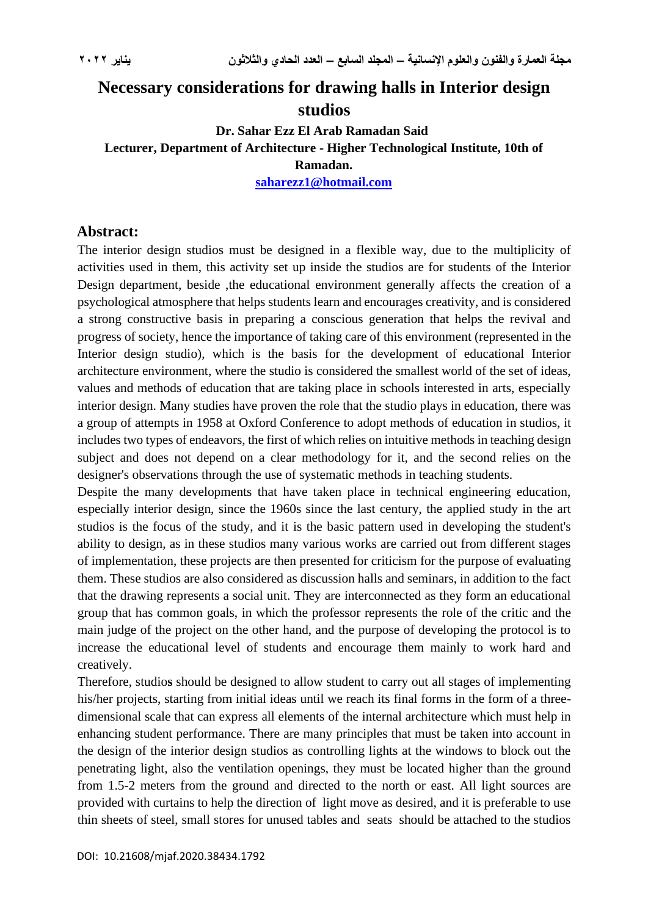# **Necessary considerations for drawing halls in Interior design studios**

# **Dr. Sahar Ezz El Arab Ramadan Said Lecturer, Department of Architecture - Higher Technological Institute, 10th of Ramadan.**

**[saharezz1@hotmail.com](mailto:saharezz_1@hotmail.com)**

#### **Abstract:**

The interior design studios must be designed in a flexible way, due to the multiplicity of activities used in them, this activity set up inside the studios are for students of the Interior Design department, beside , the educational environment generally affects the creation of a psychological atmosphere that helps students learn and encourages creativity, and is considered a strong constructive basis in preparing a conscious generation that helps the revival and progress of society, hence the importance of taking care of this environment (represented in the Interior design studio), which is the basis for the development of educational Interior architecture environment, where the studio is considered the smallest world of the set of ideas, values and methods of education that are taking place in schools interested in arts, especially interior design. Many studies have proven the role that the studio plays in education, there was a group of attempts in 1958 at Oxford Conference to adopt methods of education in studios, it includes two types of endeavors, the first of which relies on intuitive methods in teaching design subject and does not depend on a clear methodology for it, and the second relies on the designer's observations through the use of systematic methods in teaching students.

Despite the many developments that have taken place in technical engineering education, especially interior design, since the 1960s since the last century, the applied study in the art studios is the focus of the study, and it is the basic pattern used in developing the student's ability to design, as in these studios many various works are carried out from different stages of implementation, these projects are then presented for criticism for the purpose of evaluating them. These studios are also considered as discussion halls and seminars, in addition to the fact that the drawing represents a social unit. They are interconnected as they form an educational group that has common goals, in which the professor represents the role of the critic and the main judge of the project on the other hand, and the purpose of developing the protocol is to increase the educational level of students and encourage them mainly to work hard and creatively.

Therefore, studio**s** should be designed to allow student to carry out all stages of implementing his/her projects, starting from initial ideas until we reach its final forms in the form of a threedimensional scale that can express all elements of the internal architecture which must help in enhancing student performance. There are many principles that must be taken into account in the design of the interior design studios as controlling lights at the windows to block out the penetrating light, also the ventilation openings, they must be located higher than the ground from 1.5-2 meters from the ground and directed to the north or east. All light sources are provided with curtains to help the direction of light move as desired, and it is preferable to use thin sheets of steel, small stores for unused tables and seats should be attached to the studios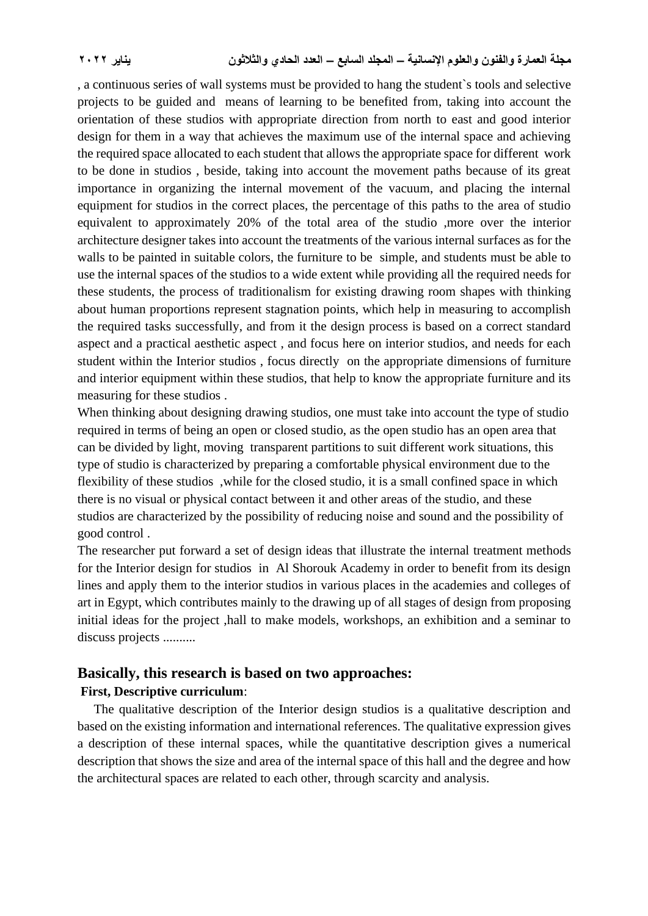, a continuous series of wall systems must be provided to hang the student`s tools and selective projects to be guided and means of learning to be benefited from, taking into account the orientation of these studios with appropriate direction from north to east and good interior design for them in a way that achieves the maximum use of the internal space and achieving the required space allocated to each student that allows the appropriate space for different work to be done in studios , beside, taking into account the movement paths because of its great importance in organizing the internal movement of the vacuum, and placing the internal equipment for studios in the correct places, the percentage of this paths to the area of studio equivalent to approximately 20% of the total area of the studio ,more over the interior architecture designer takes into account the treatments of the various internal surfaces as for the walls to be painted in suitable colors, the furniture to be simple, and students must be able to use the internal spaces of the studios to a wide extent while providing all the required needs for these students, the process of traditionalism for existing drawing room shapes with thinking about human proportions represent stagnation points, which help in measuring to accomplish the required tasks successfully, and from it the design process is based on a correct standard aspect and a practical aesthetic aspect , and focus here on interior studios, and needs for each student within the Interior studios , focus directly on the appropriate dimensions of furniture and interior equipment within these studios, that help to know the appropriate furniture and its measuring for these studios .

When thinking about designing drawing studios, one must take into account the type of studio required in terms of being an open or closed studio, as the open studio has an open area that can be divided by light, moving transparent partitions to suit different work situations, this type of studio is characterized by preparing a comfortable physical environment due to the flexibility of these studios ,while for the closed studio, it is a small confined space in which there is no visual or physical contact between it and other areas of the studio, and these studios are characterized by the possibility of reducing noise and sound and the possibility of good control .

The researcher put forward a set of design ideas that illustrate the internal treatment methods for the Interior design for studios in Al Shorouk Academy in order to benefit from its design lines and apply them to the interior studios in various places in the academies and colleges of art in Egypt, which contributes mainly to the drawing up of all stages of design from proposing initial ideas for the project ,hall to make models, workshops, an exhibition and a seminar to discuss projects ..........

# **Basically, this research is based on two approaches: First, Descriptive curriculum**:

 The qualitative description of the Interior design studios is a qualitative description and based on the existing information and international references. The qualitative expression gives a description of these internal spaces, while the quantitative description gives a numerical description that shows the size and area of the internal space of this hall and the degree and how the architectural spaces are related to each other, through scarcity and analysis.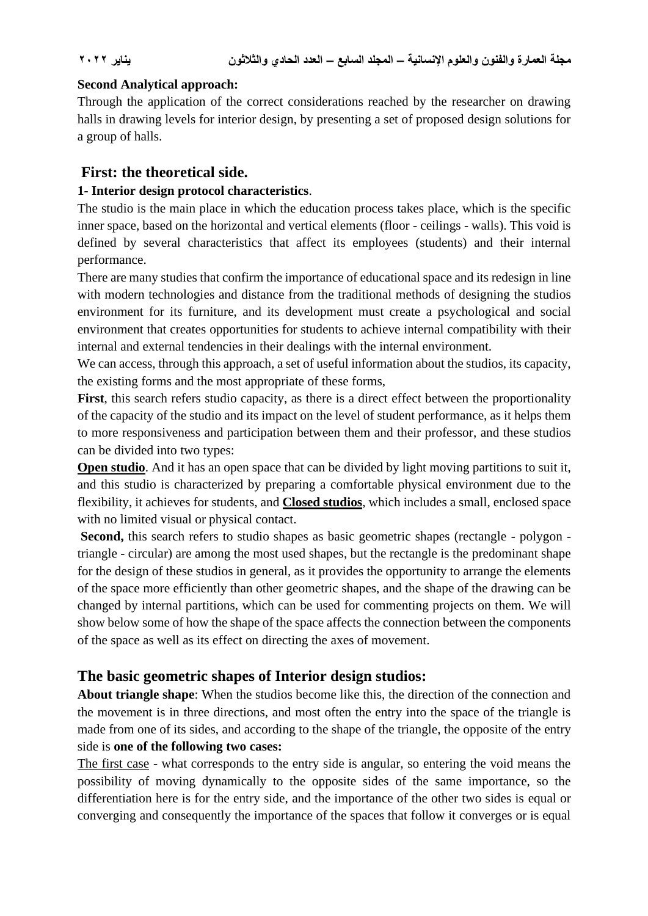#### **Second Analytical approach:**

Through the application of the correct considerations reached by the researcher on drawing halls in drawing levels for interior design, by presenting a set of proposed design solutions for a group of halls.

#### **First: the theoretical side.**

#### **1- Interior design protocol characteristics**.

The studio is the main place in which the education process takes place, which is the specific inner space, based on the horizontal and vertical elements (floor - ceilings - walls). This void is defined by several characteristics that affect its employees (students) and their internal performance.

There are many studies that confirm the importance of educational space and its redesign in line with modern technologies and distance from the traditional methods of designing the studios environment for its furniture, and its development must create a psychological and social environment that creates opportunities for students to achieve internal compatibility with their internal and external tendencies in their dealings with the internal environment.

We can access, through this approach, a set of useful information about the studios, its capacity, the existing forms and the most appropriate of these forms,

First, this search refers studio capacity, as there is a direct effect between the proportionality of the capacity of the studio and its impact on the level of student performance, as it helps them to more responsiveness and participation between them and their professor, and these studios can be divided into two types:

**Open studio**. And it has an open space that can be divided by light moving partitions to suit it, and this studio is characterized by preparing a comfortable physical environment due to the flexibility, it achieves for students, and **Closed studios**, which includes a small, enclosed space with no limited visual or physical contact.

Second, this search refers to studio shapes as basic geometric shapes (rectangle - polygon triangle - circular) are among the most used shapes, but the rectangle is the predominant shape for the design of these studios in general, as it provides the opportunity to arrange the elements of the space more efficiently than other geometric shapes, and the shape of the drawing can be changed by internal partitions, which can be used for commenting projects on them. We will show below some of how the shape of the space affects the connection between the components of the space as well as its effect on directing the axes of movement.

## **The basic geometric shapes of Interior design studios:**

**About triangle shape**: When the studios become like this, the direction of the connection and the movement is in three directions, and most often the entry into the space of the triangle is made from one of its sides, and according to the shape of the triangle, the opposite of the entry side is **one of the following two cases:**

The first case - what corresponds to the entry side is angular, so entering the void means the possibility of moving dynamically to the opposite sides of the same importance, so the differentiation here is for the entry side, and the importance of the other two sides is equal or converging and consequently the importance of the spaces that follow it converges or is equal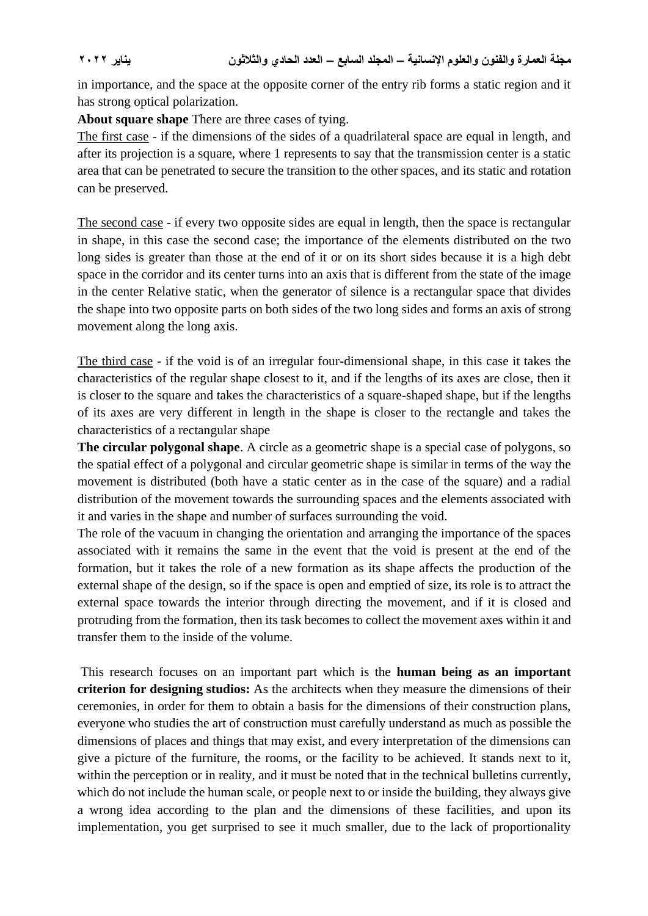in importance, and the space at the opposite corner of the entry rib forms a static region and it has strong optical polarization.

**About square shape** There are three cases of tying.

The first case - if the dimensions of the sides of a quadrilateral space are equal in length, and after its projection is a square, where 1 represents to say that the transmission center is a static area that can be penetrated to secure the transition to the other spaces, and its static and rotation can be preserved.

The second case - if every two opposite sides are equal in length, then the space is rectangular in shape, in this case the second case; the importance of the elements distributed on the two long sides is greater than those at the end of it or on its short sides because it is a high debt space in the corridor and its center turns into an axis that is different from the state of the image in the center Relative static, when the generator of silence is a rectangular space that divides the shape into two opposite parts on both sides of the two long sides and forms an axis of strong movement along the long axis.

The third case - if the void is of an irregular four-dimensional shape, in this case it takes the characteristics of the regular shape closest to it, and if the lengths of its axes are close, then it is closer to the square and takes the characteristics of a square-shaped shape, but if the lengths of its axes are very different in length in the shape is closer to the rectangle and takes the characteristics of a rectangular shape

**The circular polygonal shape**. A circle as a geometric shape is a special case of polygons, so the spatial effect of a polygonal and circular geometric shape is similar in terms of the way the movement is distributed (both have a static center as in the case of the square) and a radial distribution of the movement towards the surrounding spaces and the elements associated with it and varies in the shape and number of surfaces surrounding the void.

The role of the vacuum in changing the orientation and arranging the importance of the spaces associated with it remains the same in the event that the void is present at the end of the formation, but it takes the role of a new formation as its shape affects the production of the external shape of the design, so if the space is open and emptied of size, its role is to attract the external space towards the interior through directing the movement, and if it is closed and protruding from the formation, then its task becomes to collect the movement axes within it and transfer them to the inside of the volume.

This research focuses on an important part which is the **human being as an important criterion for designing studios:** As the architects when they measure the dimensions of their ceremonies, in order for them to obtain a basis for the dimensions of their construction plans, everyone who studies the art of construction must carefully understand as much as possible the dimensions of places and things that may exist, and every interpretation of the dimensions can give a picture of the furniture, the rooms, or the facility to be achieved. It stands next to it, within the perception or in reality, and it must be noted that in the technical bulletins currently, which do not include the human scale, or people next to or inside the building, they always give a wrong idea according to the plan and the dimensions of these facilities, and upon its implementation, you get surprised to see it much smaller, due to the lack of proportionality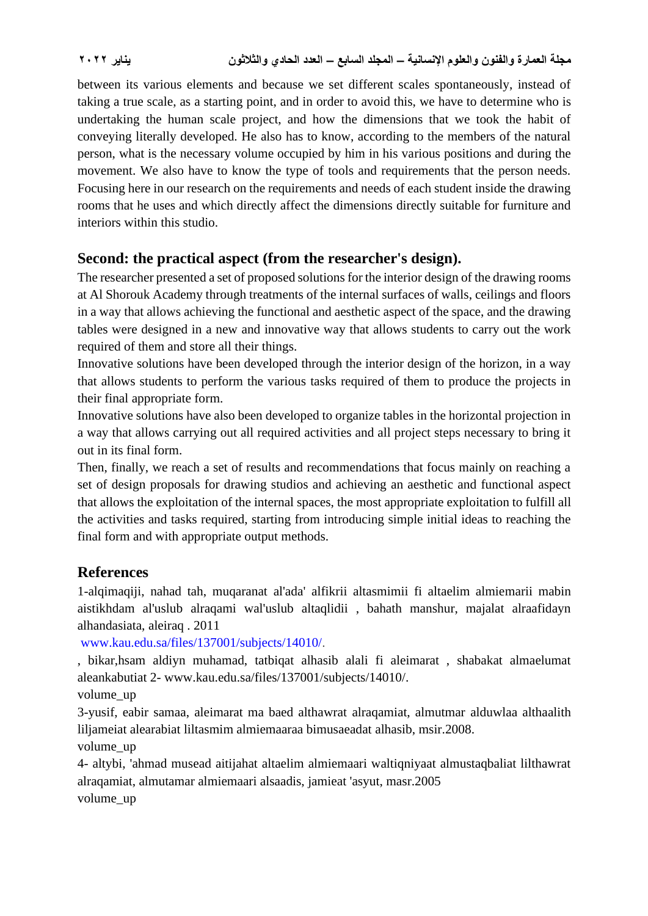between its various elements and because we set different scales spontaneously, instead of taking a true scale, as a starting point, and in order to avoid this, we have to determine who is undertaking the human scale project, and how the dimensions that we took the habit of conveying literally developed. He also has to know, according to the members of the natural person, what is the necessary volume occupied by him in his various positions and during the movement. We also have to know the type of tools and requirements that the person needs. Focusing here in our research on the requirements and needs of each student inside the drawing rooms that he uses and which directly affect the dimensions directly suitable for furniture and interiors within this studio.

## **Second: the practical aspect (from the researcher's design).**

The researcher presented a set of proposed solutions for the interior design of the drawing rooms at Al Shorouk Academy through treatments of the internal surfaces of walls, ceilings and floors in a way that allows achieving the functional and aesthetic aspect of the space, and the drawing tables were designed in a new and innovative way that allows students to carry out the work required of them and store all their things.

Innovative solutions have been developed through the interior design of the horizon, in a way that allows students to perform the various tasks required of them to produce the projects in their final appropriate form.

Innovative solutions have also been developed to organize tables in the horizontal projection in a way that allows carrying out all required activities and all project steps necessary to bring it out in its final form.

Then, finally, we reach a set of results and recommendations that focus mainly on reaching a set of design proposals for drawing studios and achieving an aesthetic and functional aspect that allows the exploitation of the internal spaces, the most appropriate exploitation to fulfill all the activities and tasks required, starting from introducing simple initial ideas to reaching the final form and with appropriate output methods.

## **References**

1-alqimaqiji, nahad tah, muqaranat al'ada' alfikrii altasmimii fi altaelim almiemarii mabin aistikhdam al'uslub alraqami wal'uslub altaqlidii , bahath manshur, majalat alraafidayn alhandasiata, aleiraq . 2011

[www.kau.edu.sa/files/137001/subjects/14010/.](http://www.kau.edu.sa/files/137001/subjects/14010/)

, bikar,hsam aldiyn muhamad, tatbiqat alhasib alali fi aleimarat , shabakat almaelumat aleankabutiat 2- www.kau.edu.sa/files/137001/subjects/14010/.

volume\_up

3-yusif, eabir samaa, aleimarat ma baed althawrat alraqamiat, almutmar alduwlaa althaalith liljameiat alearabiat liltasmim almiemaaraa bimusaeadat alhasib, msir.2008.

volume\_up

4- altybi, 'ahmad musead aitijahat altaelim almiemaari waltiqniyaat almustaqbaliat lilthawrat alraqamiat, almutamar almiemaari alsaadis, jamieat 'asyut, masr.2005 volume\_up